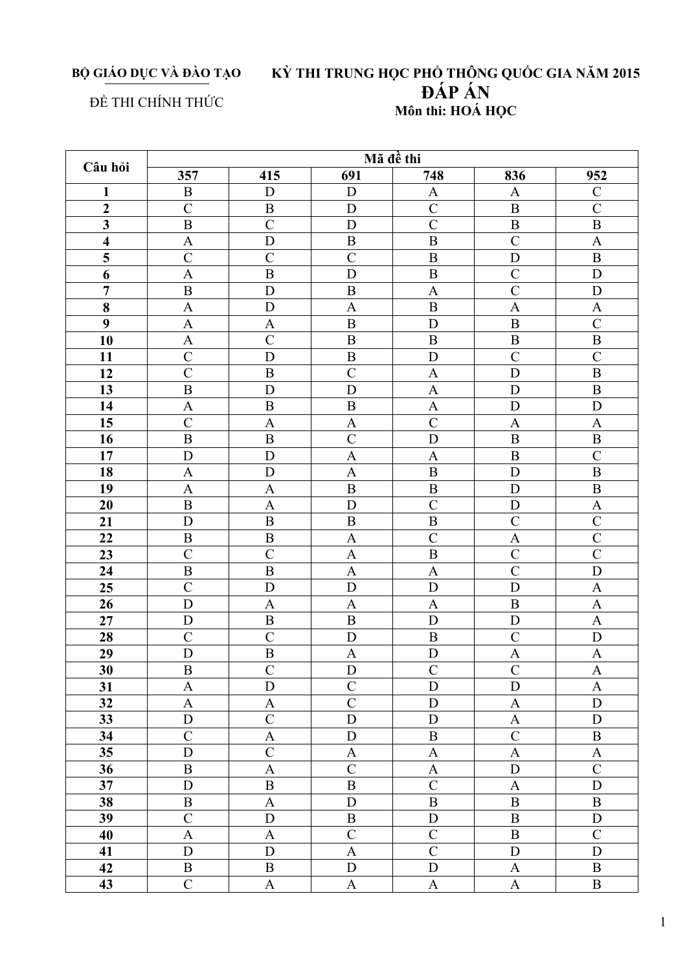BỘ GIÁO DỤC VÀ ĐÀO TẠO

## KỪ THI TRUNG HỌC PHỔ THÔNG QUỐC GIA NĂM 2015<br>ĐẤP ẤN Môn thi: HOÁ HỌC

## ĐỀ THI CHÍNH THỨC

| Câu hỏi                 | Mã đề thi                 |                           |                           |                           |                           |                           |  |  |  |
|-------------------------|---------------------------|---------------------------|---------------------------|---------------------------|---------------------------|---------------------------|--|--|--|
|                         | 357                       | 415                       | 691                       | 748                       | 836                       | 952                       |  |  |  |
| $\mathbf{1}$            | $\, {\bf B}$              | D                         | $\mathbf D$               | $\mathbf{A}$              | A                         | $\mathcal{C}$             |  |  |  |
| $\overline{2}$          | $\mathcal{C}$             | $\, {\bf B}$              | ${\bf D}$                 | $\overline{C}$            | $\, {\bf B}$              | $\overline{C}$            |  |  |  |
| $\overline{\mathbf{3}}$ | $\overline{B}$            | $\overline{C}$            | D                         | $\overline{C}$            | $\overline{B}$            | $\overline{B}$            |  |  |  |
| $\overline{\mathbf{4}}$ | $\mathbf A$               | $\overline{D}$            | $\, {\bf B}$              | $\overline{B}$            | $\overline{C}$            | $\boldsymbol{\mathsf{A}}$ |  |  |  |
| $\overline{\mathbf{5}}$ | $\mathcal{C}$             | $\mathcal{C}$             | $\overline{C}$            | $\, {\bf B}$              | D                         | $\, {\bf B}$              |  |  |  |
| 6                       | $\mathbf{A}$              | $\overline{B}$            | D                         | $\, {\bf B}$              | $\mathcal{C}$             | D                         |  |  |  |
| $\overline{7}$          | $\, {\bf B}$              | ${\bf D}$                 | $\, {\bf B}$              | $\boldsymbol{\rm{A}}$     | $\overline{C}$            | ${\rm D}$                 |  |  |  |
| 8                       | $\mathbf A$               | D                         | $\boldsymbol{\rm{A}}$     | $\overline{B}$            | $\overline{A}$            | $\boldsymbol{\mathsf{A}}$ |  |  |  |
| 9                       | $\boldsymbol{\mathsf{A}}$ | $\mathbf{A}$              | $\, {\bf B}$              | $\mathbf D$               | $\boldsymbol{B}$          | $\overline{C}$            |  |  |  |
| 10                      | $\boldsymbol{\rm{A}}$     | $\mathcal{C}$             | $\, {\bf B}$              | $\, {\bf B}$              | $\, {\bf B}$              | $\, {\bf B}$              |  |  |  |
| 11                      | $\mathcal{C}$             | D                         | $\overline{B}$            | D                         | $\mathcal{C}$             | $\overline{C}$            |  |  |  |
| 12                      | $\mathcal{C}$             | $\, {\bf B}$              | $\mathcal{C}$             | $\mathbf{A}$              | $\mathbf D$               | $\, {\bf B}$              |  |  |  |
| 13                      | $\, {\bf B}$              | D                         | $\mathbf D$               | $\mathbf{A}$              | D                         | $\mathbf B$               |  |  |  |
| 14                      | $\boldsymbol{\mathsf{A}}$ | $\boldsymbol{B}$          | $\bf{B}$                  | $\mathbf{A}$              | D                         | D                         |  |  |  |
| 15                      | $\mathcal{C}$             | $\mathbf{A}$              | $\mathbf{A}$              | $\mathcal{C}$             | $\mathbf{A}$              | $\mathbf{A}$              |  |  |  |
| 16                      | $\, {\bf B}$              | $\, {\bf B}$              | $\mathcal{C}$             | $\mathbf D$               | $\, {\bf B}$              | $\, {\bf B}$              |  |  |  |
| $\overline{17}$         | $\mathbf D$               | $\mathbf D$               | $\boldsymbol{\mathsf{A}}$ | $\mathbf{A}$              | $\, {\bf B}$              | $\overline{C}$            |  |  |  |
| 18                      | $\mathbf{A}$              | $\mathbf D$               | $\mathbf{A}$              | $\, {\bf B}$              | D                         | $\, {\bf B}$              |  |  |  |
| 19                      | $\mathbf{A}$              | $\overline{A}$            | $\overline{B}$            | $\overline{B}$            | D                         | $\, {\bf B}$              |  |  |  |
| 20                      | $\, {\bf B}$              | $\mathbf{A}$              | $\mathbf{D}$              | $\overline{C}$            | $\mathbf D$               | $\boldsymbol{\mathsf{A}}$ |  |  |  |
| 21                      | $\mathbf D$               | $\, {\bf B}$              | $\, {\bf B}$              | $\bf{B}$                  | $\mathcal{C}$             | $\overline{C}$            |  |  |  |
| 22                      | $\, {\bf B}$              | $\, {\bf B}$              | $\boldsymbol{\mathsf{A}}$ | $\overline{C}$            | $\mathbf{A}$              | $\overline{C}$            |  |  |  |
| 23                      | $\mathcal{C}$             | $\mathcal{C}$             | $\mathbf{A}$              | $\, {\bf B}$              | $\mathcal{C}$             | $\overline{C}$            |  |  |  |
| 24                      | $\overline{B}$            | $\overline{B}$            | $\overline{A}$            | $\mathbf{A}$              | $\overline{C}$            | D                         |  |  |  |
| 25                      | $\mathcal{C}$             | $\mathbf D$               | $\mathbf D$               | $\mathbf D$               | D                         | $\boldsymbol{\mathsf{A}}$ |  |  |  |
| 26                      | $\mathbf D$               | A                         | $\mathbf{A}$              | $\mathbf{A}$              | $\, {\bf B}$              | $\boldsymbol{\mathsf{A}}$ |  |  |  |
| 27                      | D                         | $\, {\bf B}$              | $\overline{B}$            | D                         | D                         | $\boldsymbol{\mathsf{A}}$ |  |  |  |
| 28                      | $\mathcal{C}$             | $\overline{C}$            | $\mathbf D$               | $\mathbf B$               | $\mathcal{C}$             | $\mathbf D$               |  |  |  |
| 29                      | $\mathbf D$               | $\, {\bf B}$              | $\mathbf{A}$              | $\mathbf D$               | $\mathbf{A}$              | $\boldsymbol{A}$          |  |  |  |
| $\overline{30}$         | $\overline{\mathbf{B}}$   | $\overline{C}$            | $\overline{\text{D}}$     | $\overline{C}$            | $\overline{C}$            | $\mathbf A$               |  |  |  |
| 31                      | $\mathbf{A}$              | $\mathbf D$               | $\mathcal{C}$             | $\mathbf D$               | D                         | $\mathbf{A}$              |  |  |  |
| 32                      | $\mathbf A$               | $\boldsymbol{\mathsf{A}}$ | $\overline{C}$            | $\mathbf D$               | $\boldsymbol{\mathsf{A}}$ | ${\bf D}$                 |  |  |  |
| 33                      | D                         | $\overline{C}$            | ${\bf D}$                 | ${\bf D}$                 | $\boldsymbol{\mathsf{A}}$ | ${\bf D}$                 |  |  |  |
| 34                      | $\overline{C}$            | $\boldsymbol{A}$          | ${\bf D}$                 | $\, {\bf B}$              | $\overline{C}$            | $\, {\bf B}$              |  |  |  |
| 35                      | D                         | $\overline{C}$            | $\mathbf A$               | $\boldsymbol{\rm{A}}$     | $\boldsymbol{\mathsf{A}}$ | $\mathbf{A}$              |  |  |  |
| 36                      | $\, {\bf B}$              | $\boldsymbol{\mathsf{A}}$ | $\mathcal{C}$             | $\boldsymbol{\mathsf{A}}$ | ${\bf D}$                 | $\mathsf C$               |  |  |  |
| 37                      | D                         | $\overline{B}$            | $\, {\bf B}$              | $\overline{C}$            | $\mathbf{A}$              | $\mathbf D$               |  |  |  |
| 38                      | $\, {\bf B}$              | $\boldsymbol{\mathsf{A}}$ | ${\bf D}$                 | $\, {\bf B}$              | $\, {\bf B}$              | $\, {\bf B}$              |  |  |  |
| 39                      | $\mathcal{C}$             | D                         | $\, {\bf B}$              | ${\bf D}$                 | $\, {\bf B}$              | $\mathbf D$               |  |  |  |
| 40                      | $\boldsymbol{A}$          | $\mathbf{A}$              | $\mathcal{C}$             | $\mathcal{C}$             | $\bf{B}$                  | $\mathcal{C}$             |  |  |  |
| 41                      | D                         | $\mathbf D$               | $\mathbf{A}$              | $\overline{C}$            | $\mathbf D$               | $\mathbf D$               |  |  |  |
| 42                      | $\mathbf B$               | $\bf{B}$                  | ${\bf D}$                 | ${\bf D}$                 | A                         | $\bf{B}$                  |  |  |  |
| 43                      | $\mathcal{C}$             | $\mathbf{A}$              | $\mathbf{A}$              | $\mathbf A$               | $\mathbf A$               | $\, {\bf B}$              |  |  |  |